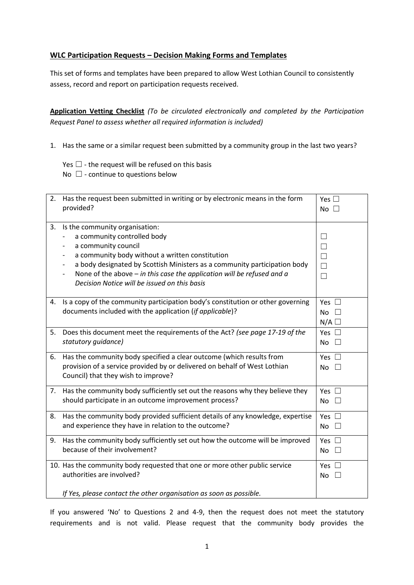# **WLC Participation Requests – Decision Making Forms and Templates**

This set of forms and templates have been prepared to allow West Lothian Council to consistently assess, record and report on participation requests received.

**Application Vetting Checklist** *(To be circulated electronically and completed by the Participation Request Panel to assess whether all required information is included)*

- 1. Has the same or a similar request been submitted by a community group in the last two years?
	- Yes  $\Box$  the request will be refused on this basis
	- No  $\Box$  continue to questions below

| 2. | Has the request been submitted in writing or by electronic means in the form<br>provided?                                                                                                                                                                                                                                                        | Yes $\square$<br>No $\square$                  |
|----|--------------------------------------------------------------------------------------------------------------------------------------------------------------------------------------------------------------------------------------------------------------------------------------------------------------------------------------------------|------------------------------------------------|
| 3. | Is the community organisation:<br>a community controlled body<br>a community council<br>a community body without a written constitution<br>a body designated by Scottish Ministers as a community participation body<br>None of the above $-$ in this case the application will be refused and a<br>Decision Notice will be issued on this basis | $\Box$<br>$\Box$<br>$\Box$<br>$\Box$<br>$\Box$ |
| 4. | Is a copy of the community participation body's constitution or other governing<br>documents included with the application (if applicable)?                                                                                                                                                                                                      | Yes $\square$<br><b>No</b><br>N/A              |
| 5. | Does this document meet the requirements of the Act? (see page 17-19 of the<br>statutory quidance)                                                                                                                                                                                                                                               | Yes $\Box$<br>No<br>$\perp$                    |
| 6. | Has the community body specified a clear outcome (which results from<br>provision of a service provided by or delivered on behalf of West Lothian<br>Council) that they wish to improve?                                                                                                                                                         | Yes $\Box$<br>No<br>$\pm$                      |
| 7. | Has the community body sufficiently set out the reasons why they believe they<br>should participate in an outcome improvement process?                                                                                                                                                                                                           | Yes $\square$<br>No                            |
| 8. | Has the community body provided sufficient details of any knowledge, expertise<br>and experience they have in relation to the outcome?                                                                                                                                                                                                           | Yes $\square$<br><b>No</b>                     |
| 9. | Has the community body sufficiently set out how the outcome will be improved<br>because of their involvement?                                                                                                                                                                                                                                    | Yes $\square$<br>No                            |
|    | 10. Has the community body requested that one or more other public service<br>authorities are involved?<br>If Yes, please contact the other organisation as soon as possible.                                                                                                                                                                    | Yes $\square$<br>No                            |

If you answered 'No' to Questions 2 and 4-9, then the request does not meet the statutory requirements and is not valid. Please request that the community body provides the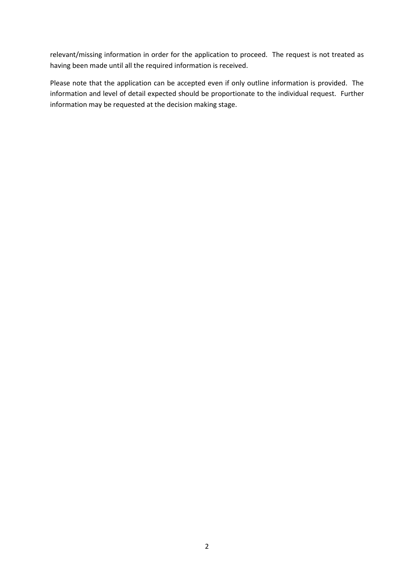relevant/missing information in order for the application to proceed. The request is not treated as having been made until all the required information is received.

Please note that the application can be accepted even if only outline information is provided. The information and level of detail expected should be proportionate to the individual request. Further information may be requested at the decision making stage.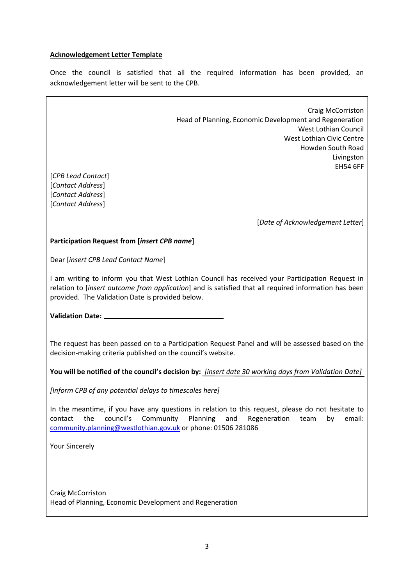## **Acknowledgement Letter Template**

Once the council is satisfied that all the required information has been provided, an acknowledgement letter will be sent to the CPB.

Craig McCorriston Head of Planning, Economic Development and Regeneration West Lothian Council West Lothian Civic Centre Howden South Road Livingston EH54 6FF [*CPB Lead Contact*] [*Contact Address*] [*Contact Address*] [*Contact Address*] [*Date of Acknowledgement Letter*] **Participation Request from [***insert CPB name***]** Dear [*insert CPB Lead Contact Name*] I am writing to inform you that West Lothian Council has received your Participation Request in relation to [*insert outcome from application*] and is satisfied that all required information has been provided. The Validation Date is provided below. **Validation Date:**  The request has been passed on to a Participation Request Panel and will be assessed based on the decision-making criteria published on the council's website. **You will be notified of the council's decision by:** *[insert date 30 working days from Validation Date] [Inform CPB of any potential delays to timescales here]* In the meantime, if you have any questions in relation to this request, please do not hesitate to contact the council's Community Planning and Regeneration team by email: [community.planning@westlothian.gov.uk](mailto:community.planning@westlothian.gov.uk) or phone: 01506 281086 Your Sincerely Craig McCorriston Head of Planning, Economic Development and Regeneration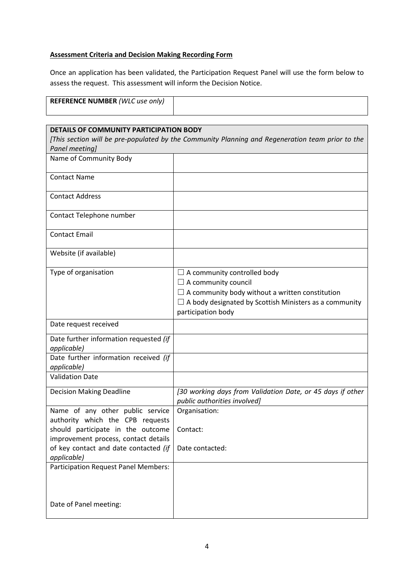# **Assessment Criteria and Decision Making Recording Form**

Once an application has been validated, the Participation Request Panel will use the form below to assess the request. This assessment will inform the Decision Notice.

| <b>REFERENCE NUMBER (WLC use only)</b> |  |
|----------------------------------------|--|
|                                        |  |
|                                        |  |

| DETAILS OF COMMUNITY PARTICIPATION BODY                                                                            |                                                                                                                                                                                                                   |  |  |  |
|--------------------------------------------------------------------------------------------------------------------|-------------------------------------------------------------------------------------------------------------------------------------------------------------------------------------------------------------------|--|--|--|
| [This section will be pre-populated by the Community Planning and Regeneration team prior to the<br>Panel meeting] |                                                                                                                                                                                                                   |  |  |  |
| Name of Community Body                                                                                             |                                                                                                                                                                                                                   |  |  |  |
|                                                                                                                    |                                                                                                                                                                                                                   |  |  |  |
| <b>Contact Name</b>                                                                                                |                                                                                                                                                                                                                   |  |  |  |
| <b>Contact Address</b>                                                                                             |                                                                                                                                                                                                                   |  |  |  |
| Contact Telephone number                                                                                           |                                                                                                                                                                                                                   |  |  |  |
| <b>Contact Email</b>                                                                                               |                                                                                                                                                                                                                   |  |  |  |
| Website (if available)                                                                                             |                                                                                                                                                                                                                   |  |  |  |
| Type of organisation                                                                                               | $\Box$ A community controlled body<br>$\Box$ A community council<br>$\Box$ A community body without a written constitution<br>$\Box$ A body designated by Scottish Ministers as a community<br>participation body |  |  |  |
| Date request received                                                                                              |                                                                                                                                                                                                                   |  |  |  |
| Date further information requested (if<br>applicable)                                                              |                                                                                                                                                                                                                   |  |  |  |
| Date further information received (if<br>applicable)                                                               |                                                                                                                                                                                                                   |  |  |  |
| <b>Validation Date</b>                                                                                             |                                                                                                                                                                                                                   |  |  |  |
| <b>Decision Making Deadline</b>                                                                                    | [30 working days from Validation Date, or 45 days if other<br>public authorities involved]                                                                                                                        |  |  |  |
| Name of any other public service<br>authority which the CPB requests                                               | Organisation:                                                                                                                                                                                                     |  |  |  |
| should participate in the outcome<br>improvement process, contact details                                          | Contact:                                                                                                                                                                                                          |  |  |  |
| of key contact and date contacted (if<br>applicable)                                                               | Date contacted:                                                                                                                                                                                                   |  |  |  |
| <b>Participation Request Panel Members:</b>                                                                        |                                                                                                                                                                                                                   |  |  |  |
| Date of Panel meeting:                                                                                             |                                                                                                                                                                                                                   |  |  |  |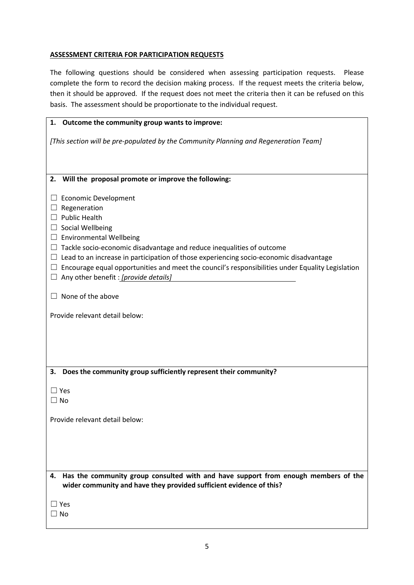## **ASSESSMENT CRITERIA FOR PARTICIPATION REQUESTS**

The following questions should be considered when assessing participation requests. Please complete the form to record the decision making process. If the request meets the criteria below, then it should be approved. If the request does not meet the criteria then it can be refused on this basis. The assessment should be proportionate to the individual request.

| 1. Outcome the community group wants to improve:                                                                                                                |
|-----------------------------------------------------------------------------------------------------------------------------------------------------------------|
| [This section will be pre-populated by the Community Planning and Regeneration Team]                                                                            |
|                                                                                                                                                                 |
| Will the proposal promote or improve the following:<br>2.                                                                                                       |
| <b>Economic Development</b><br>ப                                                                                                                                |
| Regeneration<br>$\Box$                                                                                                                                          |
| $\Box$ Public Health                                                                                                                                            |
| $\Box$ Social Wellbeing                                                                                                                                         |
| $\Box$ Environmental Wellbeing                                                                                                                                  |
| Tackle socio-economic disadvantage and reduce inequalities of outcome<br>ப                                                                                      |
| $\Box$ Lead to an increase in participation of those experiencing socio-economic disadvantage                                                                   |
| $\Box$ Encourage equal opportunities and meet the council's responsibilities under Equality Legislation                                                         |
| $\Box$ Any other benefit : [provide details]                                                                                                                    |
| $\Box$ None of the above                                                                                                                                        |
| Provide relevant detail below:                                                                                                                                  |
|                                                                                                                                                                 |
|                                                                                                                                                                 |
|                                                                                                                                                                 |
|                                                                                                                                                                 |
|                                                                                                                                                                 |
| Does the community group sufficiently represent their community?<br>З.                                                                                          |
| $\Box$ Yes                                                                                                                                                      |
| $\Box$ No                                                                                                                                                       |
|                                                                                                                                                                 |
| Provide relevant detail below:                                                                                                                                  |
|                                                                                                                                                                 |
|                                                                                                                                                                 |
|                                                                                                                                                                 |
|                                                                                                                                                                 |
| Has the community group consulted with and have support from enough members of the<br>4.<br>wider community and have they provided sufficient evidence of this? |
|                                                                                                                                                                 |
| $\Box$ Yes                                                                                                                                                      |
| $\Box$ No                                                                                                                                                       |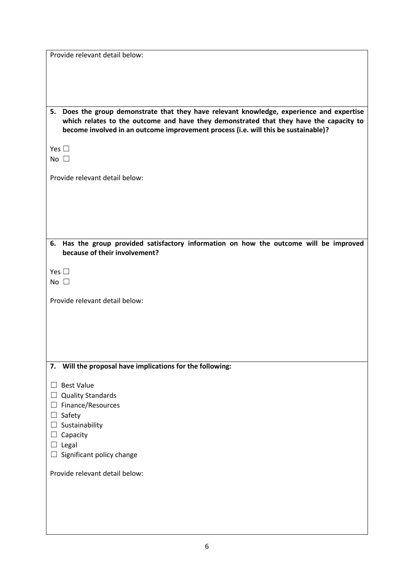| Provide relevant detail below:                                                                                                                                                                                                                                               |
|------------------------------------------------------------------------------------------------------------------------------------------------------------------------------------------------------------------------------------------------------------------------------|
|                                                                                                                                                                                                                                                                              |
|                                                                                                                                                                                                                                                                              |
|                                                                                                                                                                                                                                                                              |
|                                                                                                                                                                                                                                                                              |
| Does the group demonstrate that they have relevant knowledge, experience and expertise<br>5.<br>which relates to the outcome and have they demonstrated that they have the capacity to<br>become involved in an outcome improvement process (i.e. will this be sustainable)? |
|                                                                                                                                                                                                                                                                              |
| Yes $\square$                                                                                                                                                                                                                                                                |
| No $\square$                                                                                                                                                                                                                                                                 |
|                                                                                                                                                                                                                                                                              |
| Provide relevant detail below:                                                                                                                                                                                                                                               |
|                                                                                                                                                                                                                                                                              |
|                                                                                                                                                                                                                                                                              |
|                                                                                                                                                                                                                                                                              |
|                                                                                                                                                                                                                                                                              |
|                                                                                                                                                                                                                                                                              |
|                                                                                                                                                                                                                                                                              |
| Has the group provided satisfactory information on how the outcome will be improved<br>6.<br>because of their involvement?                                                                                                                                                   |
|                                                                                                                                                                                                                                                                              |
| Yes $\square$                                                                                                                                                                                                                                                                |
| No $\square$                                                                                                                                                                                                                                                                 |
|                                                                                                                                                                                                                                                                              |
| Provide relevant detail below:                                                                                                                                                                                                                                               |
|                                                                                                                                                                                                                                                                              |
|                                                                                                                                                                                                                                                                              |
|                                                                                                                                                                                                                                                                              |
|                                                                                                                                                                                                                                                                              |
|                                                                                                                                                                                                                                                                              |
| 7. Will the proposal have implications for the following:                                                                                                                                                                                                                    |
|                                                                                                                                                                                                                                                                              |
| <b>Best Value</b>                                                                                                                                                                                                                                                            |
| <b>Quality Standards</b><br>$\Box$                                                                                                                                                                                                                                           |
| Finance/Resources<br>⊔                                                                                                                                                                                                                                                       |
|                                                                                                                                                                                                                                                                              |
| Safety<br>$\Box$                                                                                                                                                                                                                                                             |
| Sustainability<br>$\Box$                                                                                                                                                                                                                                                     |
| Capacity<br>$\Box$                                                                                                                                                                                                                                                           |
| $\Box$ Legal                                                                                                                                                                                                                                                                 |
| Significant policy change<br>ப                                                                                                                                                                                                                                               |
| Provide relevant detail below:                                                                                                                                                                                                                                               |
|                                                                                                                                                                                                                                                                              |
|                                                                                                                                                                                                                                                                              |
|                                                                                                                                                                                                                                                                              |
|                                                                                                                                                                                                                                                                              |
|                                                                                                                                                                                                                                                                              |
|                                                                                                                                                                                                                                                                              |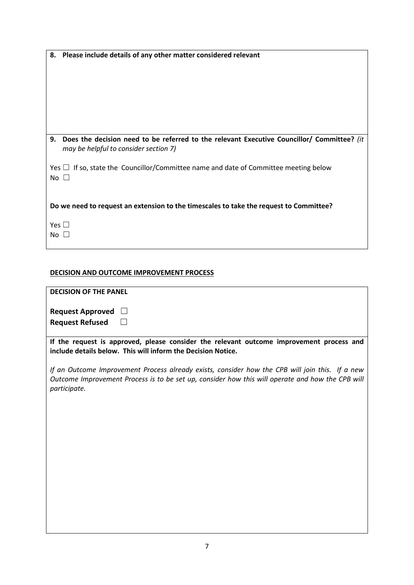| 8.<br>Please include details of any other matter considered relevant                                                                      |
|-------------------------------------------------------------------------------------------------------------------------------------------|
|                                                                                                                                           |
|                                                                                                                                           |
|                                                                                                                                           |
| 9.<br>Does the decision need to be referred to the relevant Executive Councillor/ Committee? (it<br>may be helpful to consider section 7) |
| Yes $\Box$ If so, state the Councillor/Committee name and date of Committee meeting below<br>$No \Box$                                    |
| Do we need to request an extension to the timescales to take the request to Committee?                                                    |
| Yes $\square$<br>No                                                                                                                       |

# **DECISION AND OUTCOME IMPROVEMENT PROCESS**

| <b>DECISION OF THE PANEL</b>                                                                                                                                                                                        |
|---------------------------------------------------------------------------------------------------------------------------------------------------------------------------------------------------------------------|
| <b>Request Approved</b>                                                                                                                                                                                             |
| <b>Request Refused</b>                                                                                                                                                                                              |
| If the request is approved, please consider the relevant outcome improvement process and<br>include details below. This will inform the Decision Notice.                                                            |
| If an Outcome Improvement Process already exists, consider how the CPB will join this. If a new<br>Outcome Improvement Process is to be set up, consider how this will operate and how the CPB will<br>participate. |
|                                                                                                                                                                                                                     |
|                                                                                                                                                                                                                     |

**I**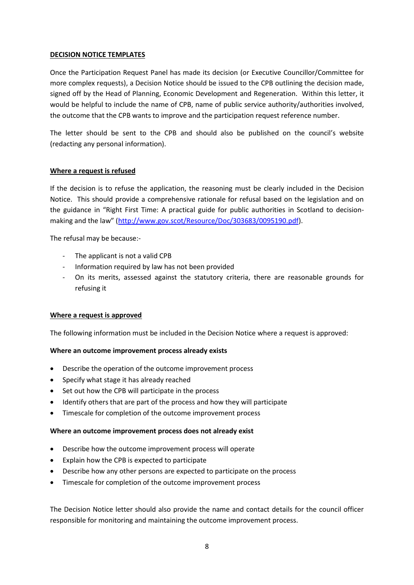#### **DECISION NOTICE TEMPLATES**

Once the Participation Request Panel has made its decision (or Executive Councillor/Committee for more complex requests), a Decision Notice should be issued to the CPB outlining the decision made, signed off by the Head of Planning, Economic Development and Regeneration. Within this letter, it would be helpful to include the name of CPB, name of public service authority/authorities involved, the outcome that the CPB wants to improve and the participation request reference number.

The letter should be sent to the CPB and should also be published on the council's website (redacting any personal information).

## **Where a request is refused**

If the decision is to refuse the application, the reasoning must be clearly included in the Decision Notice. This should provide a comprehensive rationale for refusal based on the legislation and on the guidance in "Right First Time: A practical guide for public authorities in Scotland to decisionmaking and the law" ([http://www.gov.scot/Resource/Doc/303683/0095190.pdf\)](http://www.gov.scot/Resource/Doc/303683/0095190.pdf).

The refusal may be because:-

- The applicant is not a valid CPB
- Information required by law has not been provided
- On its merits, assessed against the statutory criteria, there are reasonable grounds for refusing it

# **Where a request is approved**

The following information must be included in the Decision Notice where a request is approved:

#### **Where an outcome improvement process already exists**

- Describe the operation of the outcome improvement process
- Specify what stage it has already reached
- Set out how the CPB will participate in the process
- Identify others that are part of the process and how they will participate
- Timescale for completion of the outcome improvement process

#### **Where an outcome improvement process does not already exist**

- Describe how the outcome improvement process will operate
- Explain how the CPB is expected to participate
- Describe how any other persons are expected to participate on the process
- Timescale for completion of the outcome improvement process

The Decision Notice letter should also provide the name and contact details for the council officer responsible for monitoring and maintaining the outcome improvement process.